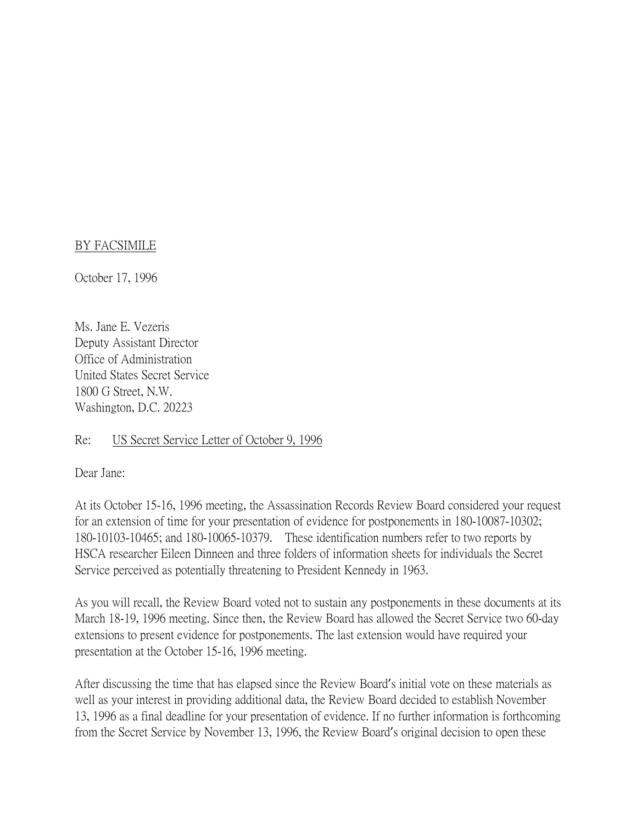## BY FACSIMILE

October 17, 1996

Ms. Jane E. Vezeris Deputy Assistant Director Office of Administration United States Secret Service 1800 G Street, N.W. Washington, D.C. 20223

## Re: US Secret Service Letter of October 9, 1996

Dear Jane:

At its October 15-16, 1996 meeting, the Assassination Records Review Board considered your request for an extension of time for your presentation of evidence for postponements in 180-10087-10302; 180-10103-10465; and 180-10065-10379. These identification numbers refer to two reports by HSCA researcher Eileen Dinneen and three folders of information sheets for individuals the Secret Service perceived as potentially threatening to President Kennedy in 1963.

As you will recall, the Review Board voted not to sustain any postponements in these documents at its March 18-19, 1996 meeting. Since then, the Review Board has allowed the Secret Service two 60-day extensions to present evidence for postponements. The last extension would have required your presentation at the October 15-16, 1996 meeting.

After discussing the time that has elapsed since the Review Board's initial vote on these materials as well as your interest in providing additional data, the Review Board decided to establish November 13, 1996 as a final deadline for your presentation of evidence. If no further information is forthcoming from the Secret Service by November 13, 1996, the Review Board's original decision to open these